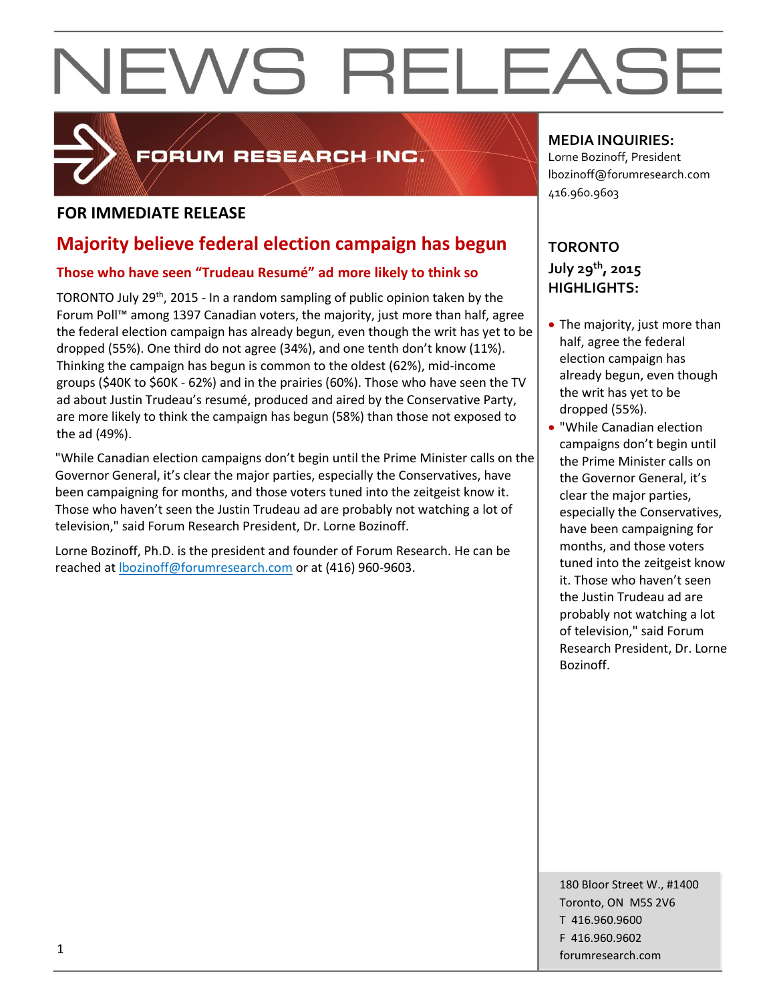

### FORUM RESEARCH INC.

### **FOR IMMEDIATE RELEASE**

### **Majority believe federal election campaign has begun**

### **Those who have seen "Trudeau Resumé" ad more likely to think so**

TORONTO July 29<sup>th</sup>, 2015 - In a random sampling of public opinion taken by the Forum Poll™ among 1397 Canadian voters, the majority, just more than half, agree the federal election campaign has already begun, even though the writ has yet to be dropped (55%). One third do not agree (34%), and one tenth don't know (11%). Thinking the campaign has begun is common to the oldest (62%), mid-income groups (\$40K to \$60K - 62%) and in the prairies (60%). Those who have seen the TV ad about Justin Trudeau's resumé, produced and aired by the Conservative Party, are more likely to think the campaign has begun (58%) than those not exposed to the ad (49%).

"While Canadian election campaigns don't begin until the Prime Minister calls on the Governor General, it's clear the major parties, especially the Conservatives, have been campaigning for months, and those voters tuned into the zeitgeist know it. Those who haven't seen the Justin Trudeau ad are probably not watching a lot of television," said Forum Research President, Dr. Lorne Bozinoff.

Lorne Bozinoff, Ph.D. is the president and founder of Forum Research. He can be reached at [lbozinoff@forumresearch.com](mailto:lbozinoff@forumresearch.com) or at (416) 960-9603.

### **MEDIA INQUIRIES:**

Lorne Bozinoff, President lbozinoff@forumresearch.com 416.960.9603

### **TORONTO July 29th, 2015 HIGHLIGHTS:**

- The majority, just more than half, agree the federal election campaign has already begun, even though the writ has yet to be dropped (55%).
- "While Canadian election campaigns don't begin until the Prime Minister calls on the Governor General, it's clear the major parties, especially the Conservatives, have been campaigning for months, and those voters tuned into the zeitgeist know it. Those who haven't seen the Justin Trudeau ad are probably not watching a lot of television," said Forum Research President, Dr. Lorne Bozinoff.

180 Bloor Street W., #1400 Toronto, ON M5S 2V6 T 416.960.9600 F 416.960.9602 **forumresearch.com** and the set of the set of the set of the set of the set of the set of the set of the set of the set of the set of the set of the set of the set of the set of the set of the set of the set of the set of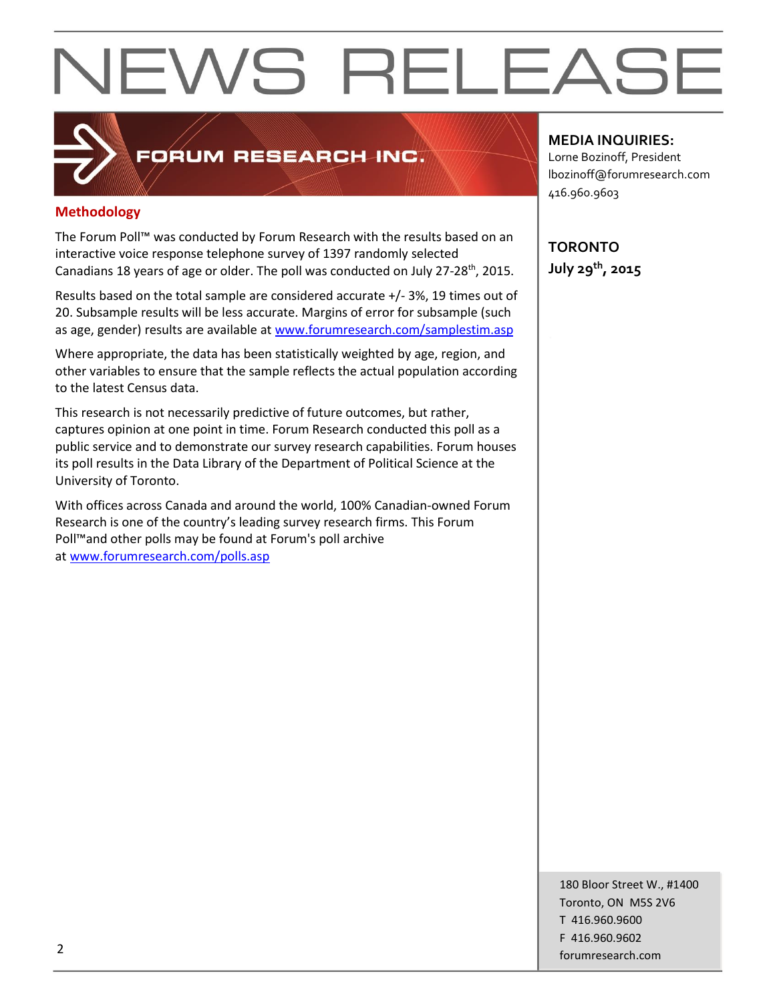### FORUM RESEARCH INC.

### **Methodology**

The Forum Poll™ was conducted by Forum Research with the results based on an interactive voice response telephone survey of 1397 randomly selected Canadians 18 years of age or older. The poll was conducted on July 27-28<sup>th</sup>, 2015.

Results based on the total sample are considered accurate +/- 3%, 19 times out of 20. Subsample results will be less accurate. Margins of error for subsample (such as age, gender) results are available at [www.forumresearch.com/samplestim.asp](http://www.forumresearch.com/samplestim.asp)

Where appropriate, the data has been statistically weighted by age, region, and other variables to ensure that the sample reflects the actual population according to the latest Census data.

This research is not necessarily predictive of future outcomes, but rather, captures opinion at one point in time. Forum Research conducted this poll as a public service and to demonstrate our survey research capabilities. Forum houses its poll results in the Data Library of the Department of Political Science at the University of Toronto.

With offices across Canada and around the world, 100% Canadian-owned Forum Research is one of the country's leading survey research firms. This Forum Poll™and other polls may be found at Forum's poll archive at [www.forumresearch.com/polls.asp](http://www.forumresearch.com/polls.asp)

### **MEDIA INQUIRIES:**

Lorne Bozinoff, President lbozinoff@forumresearch.com 416.960.9603

**TORONTO July 29th, 2015**

180 Bloor Street W., #1400 Toronto, ON M5S 2V6 T 416.960.9600 F 416.960.9602 example to the contract of the contract of the contract of the contract of the contract of the contract of the contract of the contract of the contract of the contract of the contract of the contract of the contract of the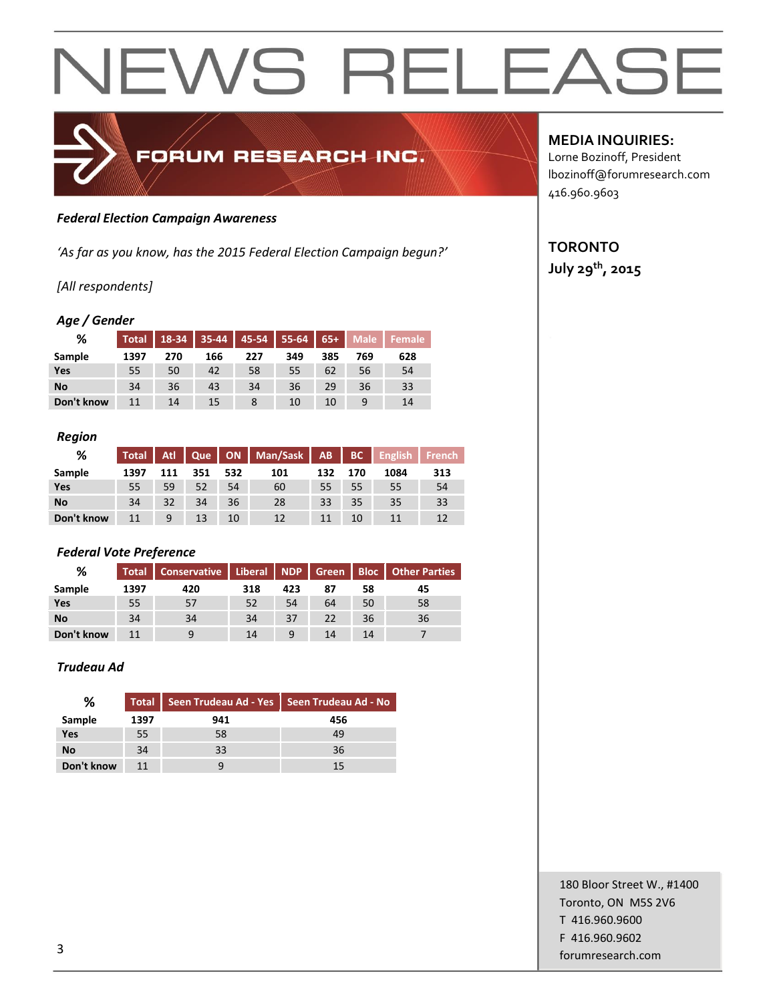

### *Federal Election Campaign Awareness*

*'As far as you know, has the 2015 Federal Election Campaign begun?'*

### *[All respondents]*

### *Age / Gender*

| %          |      |     |     |     |     |     |     | Total   18-34   35-44   45-54   55-64   65+   Male   Female |
|------------|------|-----|-----|-----|-----|-----|-----|-------------------------------------------------------------|
| Sample     | 1397 | 270 | 166 | 227 | 349 | 385 | 769 | 628                                                         |
| Yes        | 55   | 50  | 42  | 58  | 55  | 62  | 56  | 54                                                          |
| <b>No</b>  | 34   | 36  | 43  | 34  | 36  | 29  | 36  | 33                                                          |
| Don't know | 11   | 14  | 15  |     | 10  | 10  |     | 14                                                          |

#### *Region*

| %          | <b>Total</b> |     | Atl Que |     | ON   Man/Sask   AB |     | BC  | <b>English French</b> |     |
|------------|--------------|-----|---------|-----|--------------------|-----|-----|-----------------------|-----|
| Sample     | 1397         | 111 | 351     | 532 | 101                | 132 | 170 | 1084                  | 313 |
| Yes        | 55           | 59  | 52      | 54  | 60                 | 55  | 55  | 55                    | 54  |
| <b>No</b>  | 34           | 32  | 34      | 36  | 28                 | 33  | 35  | 35                    | 33  |
| Don't know | 11           | 9   | 13      | 10  | 12                 | 11  | 10  |                       | 12  |

#### *Federal Vote Preference*

| %          |      | Total   Conservative   Liberal   NDP   Green |     |     |    |    | <b>Bloc</b>   Other Parties |
|------------|------|----------------------------------------------|-----|-----|----|----|-----------------------------|
| Sample     | 1397 | 420                                          | 318 | 423 | 87 | 58 | 45                          |
| Yes        | 55   | 57                                           | 52  | 54  | 64 | 50 | 58                          |
| <b>No</b>  | 34   | 34                                           | 34  | 37  | 22 | 36 | 36                          |
| Don't know | 11   |                                              | 14  | 9   | 14 | 14 |                             |

#### *Trudeau Ad*

| ℅          | <b>Total</b> | Seen Trudeau Ad - Yes | Seen Trudeau Ad - No |
|------------|--------------|-----------------------|----------------------|
| Sample     | 1397         | 941                   | 456                  |
| Yes        | 55           | 58                    | 49                   |
| No         | 34           | 33                    | 36                   |
| Don't know | 11           |                       | 15                   |

### **MEDIA INQUIRIES:**

Lorne Bozinoff, President lbozinoff@forumresearch.com 416.960.9603

### **TORONTO July 29th, 2015**

180 Bloor Street W., #1400 Toronto, ON M5S 2V6 T 416.960.9600 F 416.960.9602 for the contract of the contract of the contract of the contract of the contract of the contract of the contract of the contract of the contract of the contract of the contract of the contract of the contract of the contra